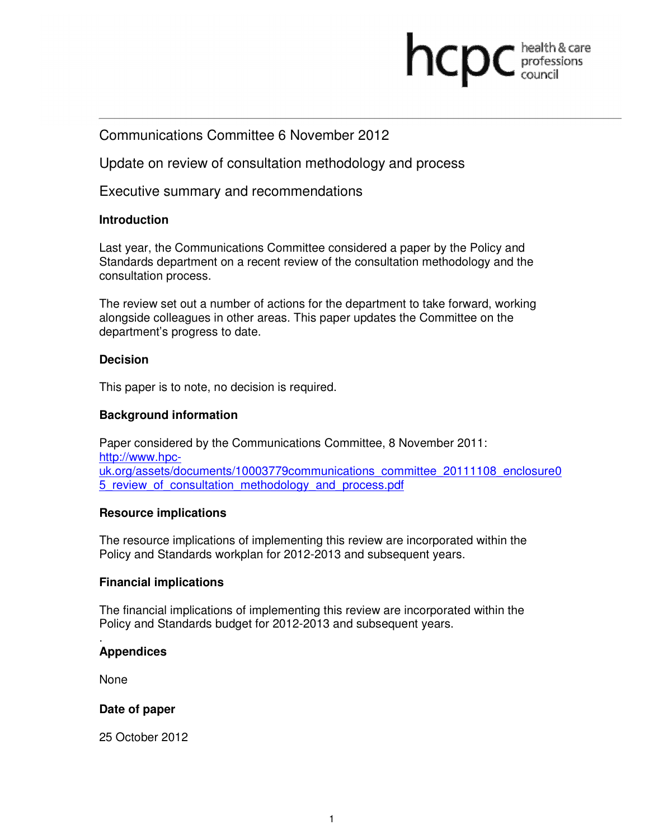# **health & care**

## Communications Committee 6 November 2012

Update on review of consultation methodology and process

Executive summary and recommendations

#### **Introduction**

Last year, the Communications Committee considered a paper by the Policy and Standards department on a recent review of the consultation methodology and the consultation process.

The review set out a number of actions for the department to take forward, working alongside colleagues in other areas. This paper updates the Committee on the department's progress to date.

#### **Decision**

This paper is to note, no decision is required.

### **Background information**

Paper considered by the Communications Committee, 8 November 2011: http://www.hpcuk.org/assets/documents/10003779communications\_committee\_20111108\_enclosure0 5\_review\_of\_consultation\_methodology\_and\_process.pdf

#### **Resource implications**

The resource implications of implementing this review are incorporated within the Policy and Standards workplan for 2012-2013 and subsequent years.

#### **Financial implications**

The financial implications of implementing this review are incorporated within the Policy and Standards budget for 2012-2013 and subsequent years.

#### . **Appendices**

None

#### **Date of paper**

25 October 2012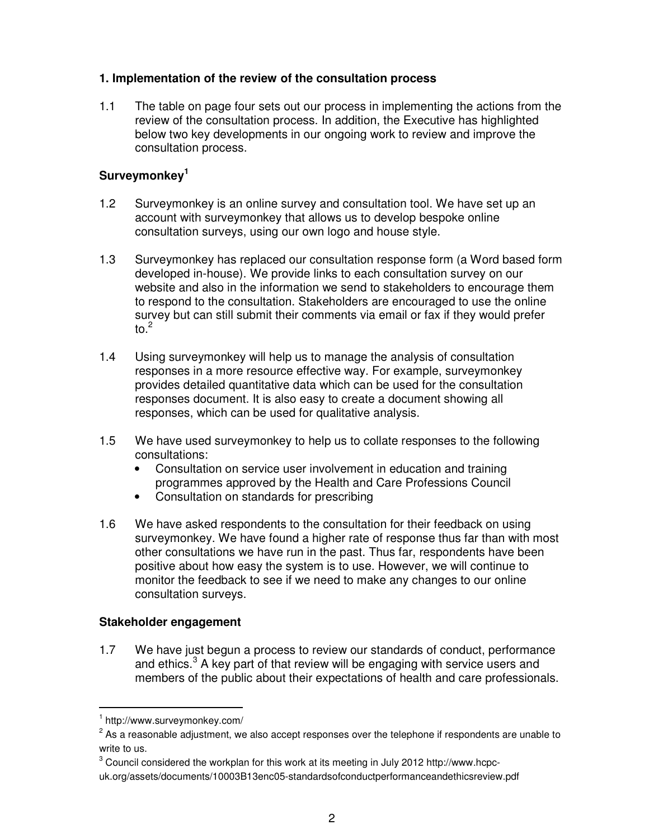## **1. Implementation of the review of the consultation process**

1.1 The table on page four sets out our process in implementing the actions from the review of the consultation process. In addition, the Executive has highlighted below two key developments in our ongoing work to review and improve the consultation process.

## **Surveymonkey<sup>1</sup>**

- 1.2 Surveymonkey is an online survey and consultation tool. We have set up an account with surveymonkey that allows us to develop bespoke online consultation surveys, using our own logo and house style.
- 1.3 Surveymonkey has replaced our consultation response form (a Word based form developed in-house). We provide links to each consultation survey on our website and also in the information we send to stakeholders to encourage them to respond to the consultation. Stakeholders are encouraged to use the online survey but can still submit their comments via email or fax if they would prefer to. $^2$
- 1.4 Using surveymonkey will help us to manage the analysis of consultation responses in a more resource effective way. For example, surveymonkey provides detailed quantitative data which can be used for the consultation responses document. It is also easy to create a document showing all responses, which can be used for qualitative analysis.
- 1.5 We have used surveymonkey to help us to collate responses to the following consultations:
	- Consultation on service user involvement in education and training programmes approved by the Health and Care Professions Council
	- Consultation on standards for prescribing
- 1.6 We have asked respondents to the consultation for their feedback on using surveymonkey. We have found a higher rate of response thus far than with most other consultations we have run in the past. Thus far, respondents have been positive about how easy the system is to use. However, we will continue to monitor the feedback to see if we need to make any changes to our online consultation surveys.

## **Stakeholder engagement**

1.7 We have just begun a process to review our standards of conduct, performance and ethics. $3$  A key part of that review will be engaging with service users and members of the public about their expectations of health and care professionals.

-

<sup>1</sup> http://www.surveymonkey.com/

 $2$  As a reasonable adjustment, we also accept responses over the telephone if respondents are unable to write to us.

 $^3$  Council considered the workplan for this work at its meeting in July 2012 http://www.hcpcuk.org/assets/documents/10003B13enc05-standardsofconductperformanceandethicsreview.pdf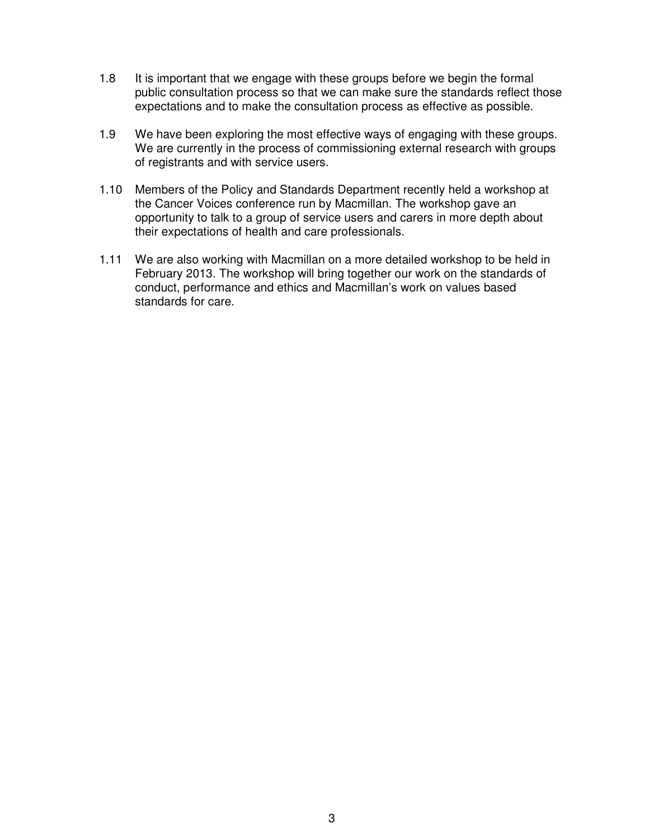- 1.8 It is important that we engage with these groups before we begin the formal public consultation process so that we can make sure the standards reflect those expectations and to make the consultation process as effective as possible.
- 1.9 We have been exploring the most effective ways of engaging with these groups. We are currently in the process of commissioning external research with groups of registrants and with service users.
- 1.10 Members of the Policy and Standards Department recently held a workshop at the Cancer Voices conference run by Macmillan. The workshop gave an opportunity to talk to a group of service users and carers in more depth about their expectations of health and care professionals.
- 1.11 We are also working with Macmillan on a more detailed workshop to be held in February 2013. The workshop will bring together our work on the standards of conduct, performance and ethics and Macmillan's work on values based standards for care.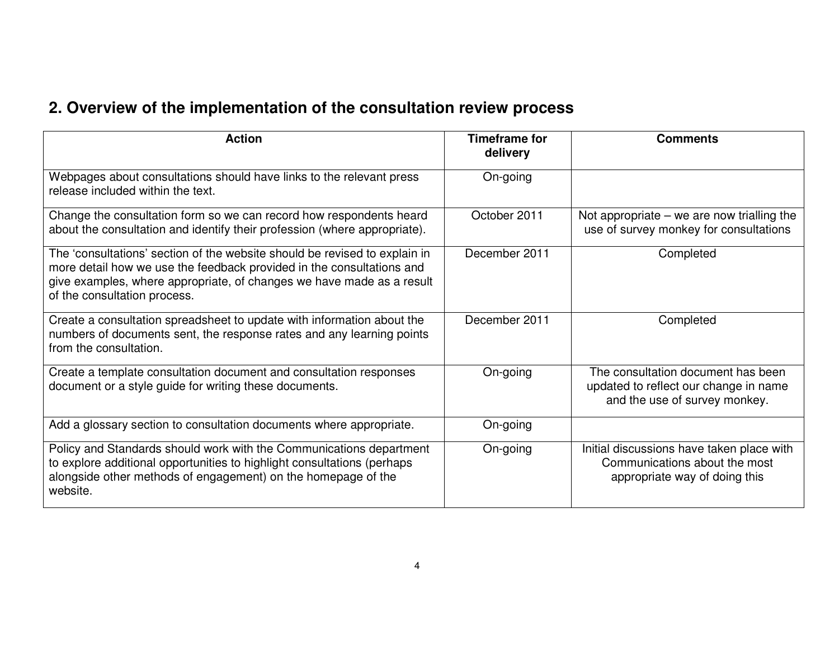## **2. Overview of the implementation of the consultation review process**

| <b>Action</b>                                                                                                                                                                                                                                                | Timeframe for<br>delivery | <b>Comments</b>                                                                                              |
|--------------------------------------------------------------------------------------------------------------------------------------------------------------------------------------------------------------------------------------------------------------|---------------------------|--------------------------------------------------------------------------------------------------------------|
| Webpages about consultations should have links to the relevant press<br>release included within the text.                                                                                                                                                    | On-going                  |                                                                                                              |
| Change the consultation form so we can record how respondents heard<br>about the consultation and identify their profession (where appropriate).                                                                                                             | October 2011              | Not appropriate $-$ we are now trialling the<br>use of survey monkey for consultations                       |
| The 'consultations' section of the website should be revised to explain in<br>more detail how we use the feedback provided in the consultations and<br>give examples, where appropriate, of changes we have made as a result<br>of the consultation process. | December 2011             | Completed                                                                                                    |
| Create a consultation spreadsheet to update with information about the<br>numbers of documents sent, the response rates and any learning points<br>from the consultation.                                                                                    | December 2011             | Completed                                                                                                    |
| Create a template consultation document and consultation responses<br>document or a style guide for writing these documents.                                                                                                                                 | On-going                  | The consultation document has been<br>updated to reflect our change in name<br>and the use of survey monkey. |
| Add a glossary section to consultation documents where appropriate.                                                                                                                                                                                          | On-going                  |                                                                                                              |
| Policy and Standards should work with the Communications department<br>to explore additional opportunities to highlight consultations (perhaps<br>alongside other methods of engagement) on the homepage of the<br>website.                                  | On-going                  | Initial discussions have taken place with<br>Communications about the most<br>appropriate way of doing this  |